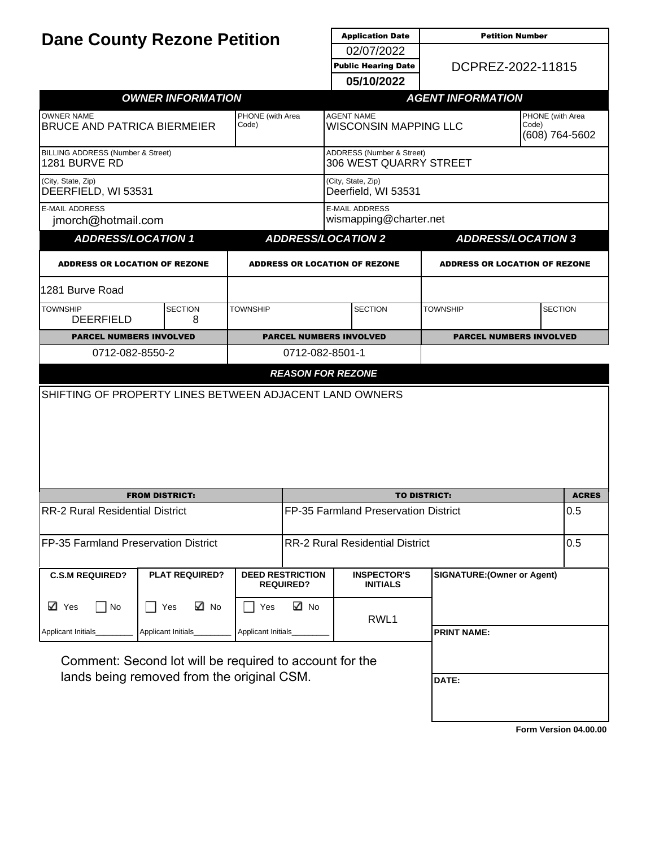| <b>Dane County Rezone Petition</b>                                                                    |                          |                                      | <b>Application Date</b>                           |                                                        |                                             | <b>Petition Number</b>             |                |              |
|-------------------------------------------------------------------------------------------------------|--------------------------|--------------------------------------|---------------------------------------------------|--------------------------------------------------------|---------------------------------------------|------------------------------------|----------------|--------------|
|                                                                                                       |                          |                                      |                                                   | 02/07/2022<br><b>Public Hearing Date</b>               |                                             | DCPREZ-2022-11815                  |                |              |
|                                                                                                       |                          |                                      |                                                   |                                                        |                                             |                                    |                |              |
|                                                                                                       |                          |                                      | 05/10/2022                                        |                                                        |                                             |                                    |                |              |
|                                                                                                       | <b>OWNER INFORMATION</b> |                                      |                                                   | <b>AGENT INFORMATION</b>                               |                                             |                                    |                |              |
| <b>OWNER NAME</b><br><b>BRUCE AND PATRICA BIERMEIER</b>                                               |                          | PHONE (with Area<br>Code)            | <b>AGENT NAME</b><br><b>WISCONSIN MAPPING LLC</b> |                                                        | PHONE (with Area<br>Code)<br>(608) 764-5602 |                                    |                |              |
| BILLING ADDRESS (Number & Street)<br>1281 BURVE RD                                                    |                          |                                      |                                                   | ADDRESS (Number & Street)<br>306 WEST QUARRY STREET    |                                             |                                    |                |              |
| (City, State, Zip)<br>DEERFIELD, WI 53531                                                             |                          |                                      |                                                   | (City, State, Zip)<br>Deerfield, WI 53531              |                                             |                                    |                |              |
| <b>E-MAIL ADDRESS</b><br>jmorch@hotmail.com                                                           |                          |                                      | <b>E-MAIL ADDRESS</b><br>wismapping@charter.net   |                                                        |                                             |                                    |                |              |
| <b>ADDRESS/LOCATION 1</b>                                                                             |                          |                                      |                                                   | <b>ADDRESS/LOCATION 2</b><br><b>ADDRESS/LOCATION 3</b> |                                             |                                    |                |              |
| <b>ADDRESS OR LOCATION OF REZONE</b>                                                                  |                          | <b>ADDRESS OR LOCATION OF REZONE</b> |                                                   |                                                        | <b>ADDRESS OR LOCATION OF REZONE</b>        |                                    |                |              |
| 1281 Burve Road                                                                                       |                          |                                      |                                                   |                                                        |                                             |                                    |                |              |
| <b>TOWNSHIP</b><br><b>DEERFIELD</b>                                                                   | <b>SECTION</b><br>8      | <b>TOWNSHIP</b>                      | <b>SECTION</b>                                    |                                                        |                                             | <b>TOWNSHIP</b>                    | <b>SECTION</b> |              |
| <b>PARCEL NUMBERS INVOLVED</b>                                                                        |                          | <b>PARCEL NUMBERS INVOLVED</b>       |                                                   |                                                        | <b>PARCEL NUMBERS INVOLVED</b>              |                                    |                |              |
| 0712-082-8550-2                                                                                       |                          |                                      | 0712-082-8501-1                                   |                                                        |                                             |                                    |                |              |
|                                                                                                       |                          |                                      | <b>REASON FOR REZONE</b>                          |                                                        |                                             |                                    |                |              |
| SHIFTING OF PROPERTY LINES BETWEEN ADJACENT LAND OWNERS                                               |                          |                                      |                                                   |                                                        |                                             |                                    |                |              |
|                                                                                                       |                          |                                      |                                                   |                                                        |                                             |                                    |                |              |
| <b>FROM DISTRICT:</b>                                                                                 |                          |                                      |                                                   | <b>TO DISTRICT:</b>                                    |                                             |                                    |                | <b>ACRES</b> |
| <b>RR-2 Rural Residential District</b>                                                                |                          |                                      | FP-35 Farmland Preservation District              |                                                        |                                             |                                    | 0.5            |              |
| FP-35 Farmland Preservation District                                                                  |                          |                                      | <b>RR-2 Rural Residential District</b>            |                                                        |                                             |                                    |                | 0.5          |
| <b>C.S.M REQUIRED?</b>                                                                                | <b>PLAT REQUIRED?</b>    |                                      | <b>DEED RESTRICTION</b><br><b>REQUIRED?</b>       |                                                        | <b>INSPECTOR'S</b><br><b>INITIALS</b>       | <b>SIGNATURE: (Owner or Agent)</b> |                |              |
| ⊠ Yes<br>$\bigsqcup$ No                                                                               | ⊠ No<br>    Yes          | Yes                                  | ⊠ No                                              | RWL1                                                   |                                             |                                    |                |              |
| Applicant Initials                                                                                    | Applicant Initials       | Applicant Initials                   |                                                   |                                                        |                                             | <b>PRINT NAME:</b>                 |                |              |
| Comment: Second lot will be required to account for the<br>lands being removed from the original CSM. |                          |                                      |                                                   |                                                        | DATE:                                       |                                    |                |              |
|                                                                                                       |                          |                                      |                                                   |                                                        |                                             |                                    |                |              |

**[Form Version 04.00.00](http://sql2008-reports/Reports/Pages/Resource.aspx?ItemPath=%2fDocumentation%2fReport+Index.docx)**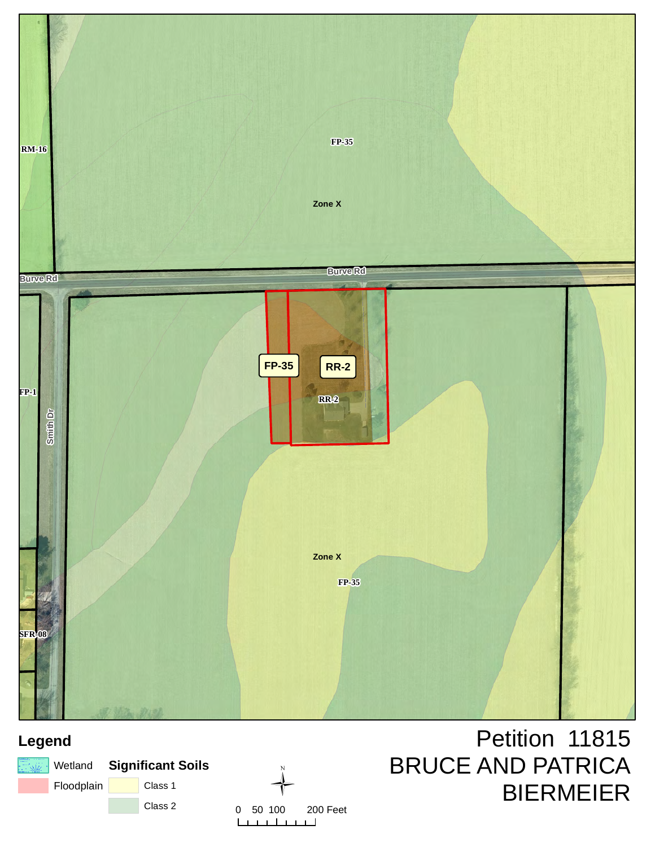

## **Legend**

|            | ि‱ Wetland Significant Soils |         |  |  |
|------------|------------------------------|---------|--|--|
| Floodplain |                              | Class 1 |  |  |
|            |                              | Class 2 |  |  |



Petition 11815 BRUCE AND PATRICA BIERMEIER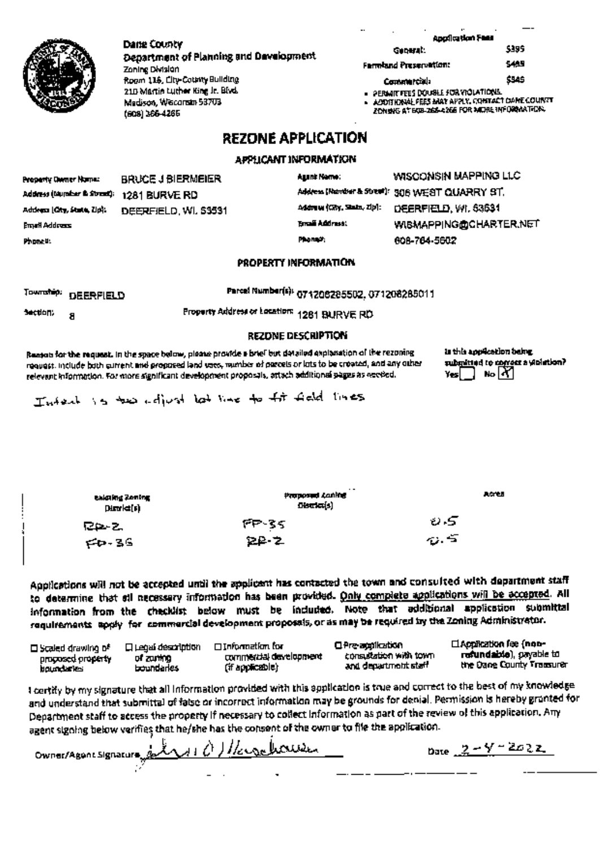|                                                               | Dane County                                                                                                                                                                                                                                                                                                                          |                                                |                                                                                                     | Application Fees<br>5395                             |  |  |
|---------------------------------------------------------------|--------------------------------------------------------------------------------------------------------------------------------------------------------------------------------------------------------------------------------------------------------------------------------------------------------------------------------------|------------------------------------------------|-----------------------------------------------------------------------------------------------------|------------------------------------------------------|--|--|
|                                                               | Department of Planning and Development<br>Zoning Division                                                                                                                                                                                                                                                                            |                                                | Geberal.<br>Farmland Preservation:                                                                  | 54.13                                                |  |  |
|                                                               | Room 115, Lity-County Building                                                                                                                                                                                                                                                                                                       |                                                | Commercial:                                                                                         | \$945                                                |  |  |
|                                                               | 210 Martin Luther King Jr. Blvd.                                                                                                                                                                                                                                                                                                     |                                                | PERMIT FEES DOUBLE FOR YIOLATIONS.                                                                  |                                                      |  |  |
|                                                               | Medison, Wisconsin 53703<br>(608) 366-4265                                                                                                                                                                                                                                                                                           |                                                | . ACCOTTIONAL FEES MAY APPLY, CONTACT CAME COUNTY<br>ZON SNG AT BOB-ZGS-4266 FOR MIDRE INFORMATION. |                                                      |  |  |
|                                                               |                                                                                                                                                                                                                                                                                                                                      | <b>REZONE APPLICATION</b>                      |                                                                                                     |                                                      |  |  |
|                                                               |                                                                                                                                                                                                                                                                                                                                      | APPLICANT INFORMATION                          |                                                                                                     |                                                      |  |  |
| Property Owner Name:                                          | <b>BRUCE J BIERMEIER</b>                                                                                                                                                                                                                                                                                                             | Agant Nome:                                    | WISCONSIN MAPPING LLC                                                                               |                                                      |  |  |
| Address (taurabar & Street);                                  | 1281 BURVE RD                                                                                                                                                                                                                                                                                                                        | Address (Rember & Street): 306 WEST QUARRY ST. |                                                                                                     |                                                      |  |  |
| Address (City, State, Zip).                                   | DEERFIELD, WI. 53531                                                                                                                                                                                                                                                                                                                 | Admuu (City, State, Zip):                      | DEERFIELD, WI, 53631                                                                                |                                                      |  |  |
| Email Address                                                 |                                                                                                                                                                                                                                                                                                                                      | Email Address:                                 |                                                                                                     | <b>WISMAPPING@CHARTER.NET</b>                        |  |  |
| Phonetic                                                      |                                                                                                                                                                                                                                                                                                                                      | Phone 2.                                       | 608-764-5602                                                                                        |                                                      |  |  |
|                                                               |                                                                                                                                                                                                                                                                                                                                      | PROPERTY INFORMATION                           |                                                                                                     |                                                      |  |  |
| Township:<br><b>DEERFIELD</b>                                 |                                                                                                                                                                                                                                                                                                                                      | Parcel Number(s): 071206285502, 071208285011   |                                                                                                     |                                                      |  |  |
| Section.<br>8                                                 | Property Address or Location: 1281 BURVE RD                                                                                                                                                                                                                                                                                          |                                                |                                                                                                     |                                                      |  |  |
|                                                               |                                                                                                                                                                                                                                                                                                                                      | <b>REZONE DESCRIPTION</b>                      |                                                                                                     |                                                      |  |  |
|                                                               |                                                                                                                                                                                                                                                                                                                                      |                                                |                                                                                                     | is this application being.                           |  |  |
|                                                               | Reason for the request. In the space below, please provide a brief but datailed explanation of the rezoning<br>request. Include both current and proposed land vote, mumber of precels or lots to be croated, and any other<br>relevant information. For more significant development proposals, attach additional pages as receied. |                                                | Yesi                                                                                                | submitted to correct a stoletion?<br>No K            |  |  |
|                                                               | Intent is two adjust let like to fit field lines                                                                                                                                                                                                                                                                                     |                                                |                                                                                                     |                                                      |  |  |
|                                                               |                                                                                                                                                                                                                                                                                                                                      |                                                |                                                                                                     |                                                      |  |  |
|                                                               |                                                                                                                                                                                                                                                                                                                                      |                                                |                                                                                                     |                                                      |  |  |
|                                                               | takuling Zoning<br>Dirakt(s)                                                                                                                                                                                                                                                                                                         | Proposed Lanke<br>Deuta(s)                     |                                                                                                     | AGYLE                                                |  |  |
| RA 2.                                                         | ምም-3ና                                                                                                                                                                                                                                                                                                                                |                                                | ย 5                                                                                                 |                                                      |  |  |
| $60 - 36$                                                     | ይይ 2                                                                                                                                                                                                                                                                                                                                 |                                                | o. 5                                                                                                |                                                      |  |  |
|                                                               |                                                                                                                                                                                                                                                                                                                                      |                                                |                                                                                                     |                                                      |  |  |
|                                                               | Applications will not be accepted until the applicant has contacted the town and consulted with department staff                                                                                                                                                                                                                     |                                                |                                                                                                     |                                                      |  |  |
|                                                               | to determine that stl necessary information has been provided. Only complete applications will be accepted. All                                                                                                                                                                                                                      |                                                |                                                                                                     |                                                      |  |  |
|                                                               | information from the checklist below must be included. Note that additional application submittal<br>requirements apply for commercial development proposals, or as may be required by the Zoning Administrator.                                                                                                                     |                                                |                                                                                                     |                                                      |  |  |
|                                                               | □ Information for                                                                                                                                                                                                                                                                                                                    | C Pre-application                              |                                                                                                     | <b>El Application fee (non-</b>                      |  |  |
| □ Scaled drawing of<br>procosed property<br><b>boundaries</b> | <b>Q Legal description</b><br>commercial development<br>of zuning<br>(if applicable)<br>boundaries                                                                                                                                                                                                                                   | and department staff                           | consultation with town.                                                                             | refundable), payable to<br>the Dane County Transurer |  |  |
|                                                               | I certify by my signature that all information provided with this application is true and correct to the best of my knowledge<br>$\pm$ such submitted of fator or incorrect information may be grounds for denial. Permission is hereby gronted for                                                                                  |                                                |                                                                                                     |                                                      |  |  |

and understand that submittal of false or incorrect information may be grounds for denial. Permission is hereby granted<br>Department staff to access the property if necessary to collect information as part of the review of or

ا<br>Owner/Agent Signature<br>کرن